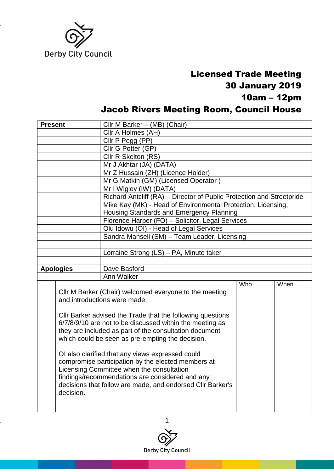

## Licensed Trade Meeting 30 January 2019 10am – 12pm Jacob Rivers Meeting Room, Council House

| <b>Present</b>   | Cllr M Barker - (MB) (Chair)                                          |     |      |  |
|------------------|-----------------------------------------------------------------------|-----|------|--|
|                  | Cllr A Holmes (AH)                                                    |     |      |  |
|                  | Cllr P Pegg (PP)                                                      |     |      |  |
|                  | Cllr G Potter (GP)                                                    |     |      |  |
|                  | Cllr R Skelton (RS)                                                   |     |      |  |
|                  | Mr J Akhtar (JA) (DATA)                                               |     |      |  |
|                  | Mr Z Hussain (ZH) (Licence Holder)                                    |     |      |  |
|                  | Mr G Matkin (GM) (Licensed Operator)                                  |     |      |  |
|                  | Mr I Wigley (IW) (DATA)                                               |     |      |  |
|                  | Richard Antcliff (RA) - Director of Public Protection and Streetpride |     |      |  |
|                  | Mike Kay (MK) - Head of Environmental Protection, Licensing,          |     |      |  |
|                  | Housing Standards and Emergency Planning                              |     |      |  |
|                  | Florence Harper (FO) - Solicitor, Legal Services                      |     |      |  |
|                  | Olu Idowu (OI) - Head of Legal Services                               |     |      |  |
|                  | Sandra Mansell (SM) - Team Leader, Licensing                          |     |      |  |
|                  |                                                                       |     |      |  |
|                  | Lorraine Strong (LS) - PA, Minute taker                               |     |      |  |
|                  |                                                                       |     |      |  |
|                  |                                                                       |     |      |  |
| <b>Apologies</b> | Dave Basford                                                          |     |      |  |
|                  | Ann Walker                                                            |     |      |  |
|                  |                                                                       | Who | When |  |
|                  | Cllr M Barker (Chair) welcomed everyone to the meeting                |     |      |  |
|                  | and introductions were made.                                          |     |      |  |
|                  |                                                                       |     |      |  |
|                  | Cllr Barker advised the Trade that the following questions            |     |      |  |
|                  | 6/7/8/9/10 are not to be discussed within the meeting as              |     |      |  |
|                  | they are included as part of the consultation document                |     |      |  |
|                  | which could be seen as pre-empting the decision.                      |     |      |  |
|                  |                                                                       |     |      |  |
|                  | OI also clarified that any views expressed could                      |     |      |  |
|                  | compromise participation by the elected members at                    |     |      |  |
|                  | Licensing Committee when the consultation                             |     |      |  |
|                  | findings/recommendations are considered and any                       |     |      |  |
|                  | decisions that follow are made, and endorsed Cllr Barker's            |     |      |  |
| decision.        |                                                                       |     |      |  |

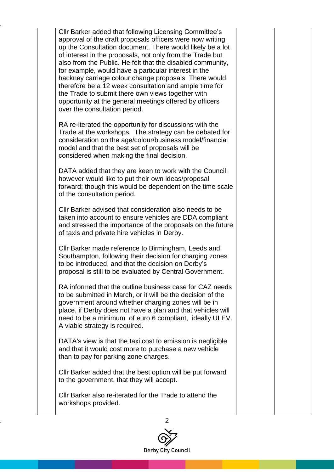| Cllr Barker added that following Licensing Committee's<br>approval of the draft proposals officers were now writing<br>up the Consultation document. There would likely be a lot<br>of interest in the proposals, not only from the Trade but<br>also from the Public. He felt that the disabled community,<br>for example, would have a particular interest in the<br>hackney carriage colour change proposals. There would<br>therefore be a 12 week consultation and ample time for<br>the Trade to submit there own views together with<br>opportunity at the general meetings offered by officers<br>over the consultation period. |  |
|-----------------------------------------------------------------------------------------------------------------------------------------------------------------------------------------------------------------------------------------------------------------------------------------------------------------------------------------------------------------------------------------------------------------------------------------------------------------------------------------------------------------------------------------------------------------------------------------------------------------------------------------|--|
| RA re-iterated the opportunity for discussions with the<br>Trade at the workshops. The strategy can be debated for<br>consideration on the age/colour/business model/financial<br>model and that the best set of proposals will be<br>considered when making the final decision.                                                                                                                                                                                                                                                                                                                                                        |  |
| DATA added that they are keen to work with the Council;<br>however would like to put their own ideas/proposal<br>forward; though this would be dependent on the time scale<br>of the consultation period.                                                                                                                                                                                                                                                                                                                                                                                                                               |  |
| CIIr Barker advised that consideration also needs to be<br>taken into account to ensure vehicles are DDA compliant<br>and stressed the importance of the proposals on the future<br>of taxis and private hire vehicles in Derby.                                                                                                                                                                                                                                                                                                                                                                                                        |  |
| Cllr Barker made reference to Birmingham, Leeds and<br>Southampton, following their decision for charging zones<br>to be introduced, and that the decision on Derby's<br>proposal is still to be evaluated by Central Government.                                                                                                                                                                                                                                                                                                                                                                                                       |  |
| RA informed that the outline business case for CAZ needs<br>to be submitted in March, or it will be the decision of the<br>government around whether charging zones will be in<br>place, if Derby does not have a plan and that vehicles will<br>need to be a minimum of euro 6 compliant, ideally ULEV.<br>A viable strategy is required.                                                                                                                                                                                                                                                                                              |  |
| DATA's view is that the taxi cost to emission is negligible<br>and that it would cost more to purchase a new vehicle<br>than to pay for parking zone charges.                                                                                                                                                                                                                                                                                                                                                                                                                                                                           |  |
| Cllr Barker added that the best option will be put forward<br>to the government, that they will accept.                                                                                                                                                                                                                                                                                                                                                                                                                                                                                                                                 |  |
| Cllr Barker also re-iterated for the Trade to attend the<br>workshops provided.                                                                                                                                                                                                                                                                                                                                                                                                                                                                                                                                                         |  |

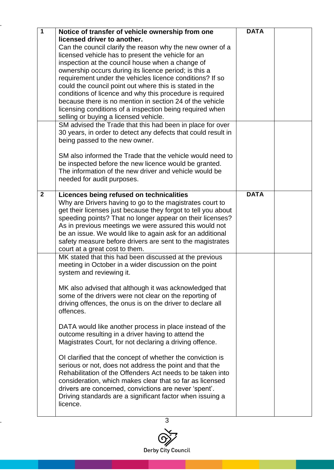| $\mathbf 1$    | Notice of transfer of vehicle ownership from one                                                                    | <b>DATA</b> |  |
|----------------|---------------------------------------------------------------------------------------------------------------------|-------------|--|
|                | licensed driver to another.                                                                                         |             |  |
|                | Can the council clarify the reason why the new owner of a                                                           |             |  |
|                | licensed vehicle has to present the vehicle for an                                                                  |             |  |
|                | inspection at the council house when a change of<br>ownership occurs during its licence period; is this a           |             |  |
|                | requirement under the vehicles licence conditions? If so                                                            |             |  |
|                | could the council point out where this is stated in the                                                             |             |  |
|                | conditions of licence and why this procedure is required                                                            |             |  |
|                | because there is no mention in section 24 of the vehicle                                                            |             |  |
|                | licensing conditions of a inspection being required when                                                            |             |  |
|                | selling or buying a licensed vehicle.                                                                               |             |  |
|                | SM advised the Trade that this had been in place for over                                                           |             |  |
|                | 30 years, in order to detect any defects that could result in                                                       |             |  |
|                | being passed to the new owner.                                                                                      |             |  |
|                | SM also informed the Trade that the vehicle would need to                                                           |             |  |
|                | be inspected before the new licence would be granted.                                                               |             |  |
|                | The information of the new driver and vehicle would be                                                              |             |  |
|                | needed for audit purposes.                                                                                          |             |  |
|                |                                                                                                                     |             |  |
| $\overline{2}$ | Licences being refused on technicalities                                                                            | <b>DATA</b> |  |
|                | Why are Drivers having to go to the magistrates court to                                                            |             |  |
|                | get their licenses just because they forgot to tell you about                                                       |             |  |
|                | speeding points? That no longer appear on their licenses?<br>As in previous meetings we were assured this would not |             |  |
|                | be an issue. We would like to again ask for an additional                                                           |             |  |
|                | safety measure before drivers are sent to the magistrates                                                           |             |  |
|                | court at a great cost to them.                                                                                      |             |  |
|                | MK stated that this had been discussed at the previous                                                              |             |  |
|                | meeting in October in a wider discussion on the point                                                               |             |  |
|                | system and reviewing it.                                                                                            |             |  |
|                | MK also advised that although it was acknowledged that                                                              |             |  |
|                | some of the drivers were not clear on the reporting of                                                              |             |  |
|                | driving offences, the onus is on the driver to declare all                                                          |             |  |
|                | offences.                                                                                                           |             |  |
|                |                                                                                                                     |             |  |
|                | DATA would like another process in place instead of the                                                             |             |  |
|                | outcome resulting in a driver having to attend the                                                                  |             |  |
|                | Magistrates Court, for not declaring a driving offence.                                                             |             |  |
|                | Of clarified that the concept of whether the conviction is                                                          |             |  |
|                | serious or not, does not address the point and that the                                                             |             |  |
|                | Rehabilitation of the Offenders Act needs to be taken into                                                          |             |  |
|                | consideration, which makes clear that so far as licensed                                                            |             |  |
|                | drivers are concerned, convictions are never 'spent'.                                                               |             |  |
|                | Driving standards are a significant factor when issuing a                                                           |             |  |
|                | licence.                                                                                                            |             |  |
|                |                                                                                                                     |             |  |

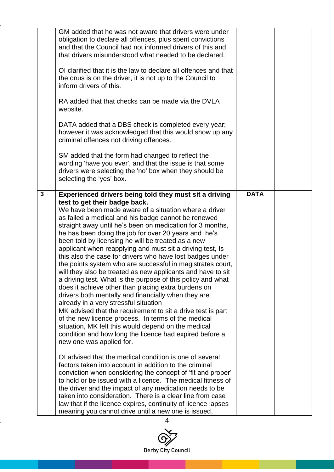|              | GM added that he was not aware that drivers were under<br>obligation to declare all offences, plus spent convictions<br>and that the Council had not informed drivers of this and<br>that drivers misunderstood what needed to be declared.<br>Of clarified that it is the law to declare all offences and that<br>the onus is on the driver, it is not up to the Council to<br>inform drivers of this.<br>RA added that that checks can be made via the DVLA<br>website.<br>DATA added that a DBS check is completed every year;<br>however it was acknowledged that this would show up any<br>criminal offences not driving offences.<br>SM added that the form had changed to reflect the<br>wording 'have you ever', and that the issue is that some<br>drivers were selecting the 'no' box when they should be<br>selecting the 'yes' box.                 |             |  |
|--------------|-----------------------------------------------------------------------------------------------------------------------------------------------------------------------------------------------------------------------------------------------------------------------------------------------------------------------------------------------------------------------------------------------------------------------------------------------------------------------------------------------------------------------------------------------------------------------------------------------------------------------------------------------------------------------------------------------------------------------------------------------------------------------------------------------------------------------------------------------------------------|-------------|--|
| $\mathbf{3}$ | Experienced drivers being told they must sit a driving<br>test to get their badge back.<br>We have been made aware of a situation where a driver<br>as failed a medical and his badge cannot be renewed<br>straight away until he's been on medication for 3 months,<br>he has been doing the job for over 20 years and he's<br>been told by licensing he will be treated as a new<br>applicant when reapplying and must sit a driving test, Is<br>this also the case for drivers who have lost badges under<br>the points system who are successful in magistrates court,<br>will they also be treated as new applicants and have to sit<br>a driving test. What is the purpose of this policy and what<br>does it achieve other than placing extra burdens on<br>drivers both mentally and financially when they are<br>already in a very stressful situation | <b>DATA</b> |  |
|              | MK advised that the requirement to sit a drive test is part<br>of the new licence process. In terms of the medical<br>situation, MK felt this would depend on the medical<br>condition and how long the licence had expired before a<br>new one was applied for.<br>Of advised that the medical condition is one of several<br>factors taken into account in addition to the criminal<br>conviction when considering the concept of 'fit and proper'<br>to hold or be issued with a licence. The medical fitness of<br>the driver and the impact of any medication needs to be<br>taken into consideration. There is a clear line from case<br>law that if the licence expires, continuity of licence lapses<br>meaning you cannot drive until a new one is issued,                                                                                             |             |  |

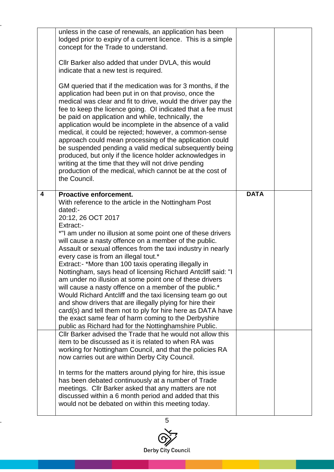|   | unless in the case of renewals, an application has been<br>lodged prior to expiry of a current licence. This is a simple<br>concept for the Trade to understand.<br>Cllr Barker also added that under DVLA, this would<br>indicate that a new test is required.<br>GM queried that if the medication was for 3 months, if the<br>application had been put in on that proviso, once the<br>medical was clear and fit to drive, would the driver pay the<br>fee to keep the licence going. OI indicated that a fee must<br>be paid on application and while, technically, the<br>application would be incomplete in the absence of a valid<br>medical, it could be rejected; however, a common-sense<br>approach could mean processing of the application could<br>be suspended pending a valid medical subsequently being<br>produced, but only if the licence holder acknowledges in<br>writing at the time that they will not drive pending<br>production of the medical, which cannot be at the cost of<br>the Council. |             |  |
|---|---------------------------------------------------------------------------------------------------------------------------------------------------------------------------------------------------------------------------------------------------------------------------------------------------------------------------------------------------------------------------------------------------------------------------------------------------------------------------------------------------------------------------------------------------------------------------------------------------------------------------------------------------------------------------------------------------------------------------------------------------------------------------------------------------------------------------------------------------------------------------------------------------------------------------------------------------------------------------------------------------------------------------|-------------|--|
| 4 | <b>Proactive enforcement.</b><br>With reference to the article in the Nottingham Post<br>dated:-<br>20:12, 26 OCT 2017<br>Extract:-<br>*"I am under no illusion at some point one of these drivers<br>will cause a nasty offence on a member of the public.<br>Assault or sexual offences from the taxi industry in nearly<br>every case is from an illegal tout.*<br>Extract:- *More than 100 taxis operating illegally in<br>Nottingham, says head of licensing Richard Antcliff said: "I<br>am under no illusion at some point one of these drivers<br>will cause a nasty offence on a member of the public.*<br>Would Richard Antcliff and the taxi licensing team go out<br>and show drivers that are illegally plying for hire their<br>card(s) and tell them not to ply for hire here as DATA have<br>the exact same fear of harm coming to the Derbyshire<br>public as Richard had for the Nottinghamshire Public.                                                                                                | <b>DATA</b> |  |
|   | Cllr Barker advised the Trade that he would not allow this<br>item to be discussed as it is related to when RA was<br>working for Nottingham Council, and that the policies RA<br>now carries out are within Derby City Council.<br>In terms for the matters around plying for hire, this issue<br>has been debated continuously at a number of Trade<br>meetings. Cllr Barker asked that any matters are not<br>discussed within a 6 month period and added that this<br>would not be debated on within this meeting today.                                                                                                                                                                                                                                                                                                                                                                                                                                                                                              |             |  |

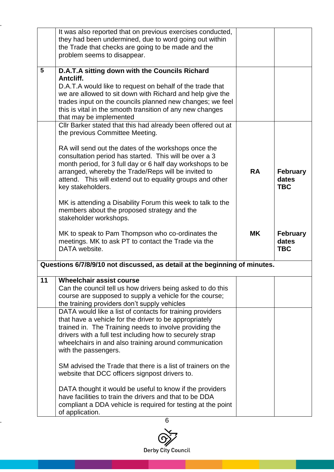|                 | It was also reported that on previous exercises conducted,                 |           |                 |
|-----------------|----------------------------------------------------------------------------|-----------|-----------------|
|                 | they had been undermined, due to word going out within                     |           |                 |
|                 | the Trade that checks are going to be made and the                         |           |                 |
|                 | problem seems to disappear.                                                |           |                 |
|                 |                                                                            |           |                 |
| $5\phantom{.0}$ | D.A.T.A sitting down with the Councils Richard                             |           |                 |
|                 | Antcliff.                                                                  |           |                 |
|                 | D.A.T.A would like to request on behalf of the trade that                  |           |                 |
|                 | we are allowed to sit down with Richard and help give the                  |           |                 |
|                 | trades input on the councils planned new changes; we feel                  |           |                 |
|                 | this is vital in the smooth transition of any new changes                  |           |                 |
|                 |                                                                            |           |                 |
|                 | that may be implemented                                                    |           |                 |
|                 | Cllr Barker stated that this had already been offered out at               |           |                 |
|                 | the previous Committee Meeting.                                            |           |                 |
|                 |                                                                            |           |                 |
|                 | RA will send out the dates of the workshops once the                       |           |                 |
|                 | consultation period has started. This will be over a 3                     |           |                 |
|                 | month period, for 3 full day or 6 half day workshops to be                 |           |                 |
|                 | arranged, whereby the Trade/Reps will be invited to                        | <b>RA</b> | <b>February</b> |
|                 | attend. This will extend out to equality groups and other                  |           | dates           |
|                 | key stakeholders.                                                          |           | <b>TBC</b>      |
|                 |                                                                            |           |                 |
|                 | MK is attending a Disability Forum this week to talk to the                |           |                 |
|                 | members about the proposed strategy and the                                |           |                 |
|                 |                                                                            |           |                 |
|                 | stakeholder workshops.                                                     |           |                 |
|                 |                                                                            |           |                 |
|                 | MK to speak to Pam Thompson who co-ordinates the                           | <b>MK</b> | <b>February</b> |
|                 | meetings. MK to ask PT to contact the Trade via the                        |           | dates           |
|                 | DATA website.                                                              |           | <b>TBC</b>      |
|                 |                                                                            |           |                 |
|                 | Questions 6/7/8/9/10 not discussed, as detail at the beginning of minutes. |           |                 |
|                 |                                                                            |           |                 |
| 11              | <b>Wheelchair assist course</b>                                            |           |                 |
|                 | Can the council tell us how drivers being asked to do this                 |           |                 |
|                 | course are supposed to supply a vehicle for the course;                    |           |                 |
|                 | the training providers don't supply vehicles                               |           |                 |
|                 | DATA would like a list of contacts for training providers                  |           |                 |
|                 | that have a vehicle for the driver to be appropriately                     |           |                 |
|                 | trained in. The Training needs to involve providing the                    |           |                 |
|                 |                                                                            |           |                 |
|                 |                                                                            |           |                 |
|                 | drivers with a full test including how to securely strap                   |           |                 |
|                 | wheelchairs in and also training around communication                      |           |                 |
|                 | with the passengers.                                                       |           |                 |
|                 |                                                                            |           |                 |
|                 | SM advised the Trade that there is a list of trainers on the               |           |                 |
|                 | website that DCC officers signpost drivers to.                             |           |                 |
|                 |                                                                            |           |                 |
|                 | DATA thought it would be useful to know if the providers                   |           |                 |
|                 | have facilities to train the drivers and that to be DDA                    |           |                 |
|                 | compliant a DDA vehicle is required for testing at the point               |           |                 |